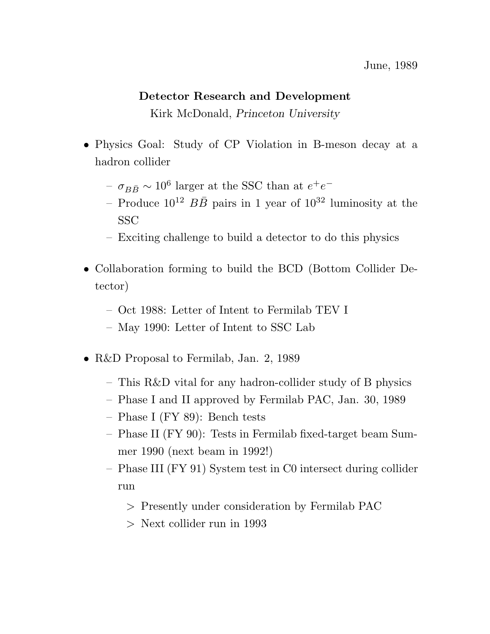## **Detector Research and Development**

Kirk McDonald, *Princeton University*

- Physics Goal: Study of CP Violation in B-meson decay at a hadron collider
	- <sup>−</sup>  $σ<sub>BB̄</sub> ~ 10<sup>6</sup>$  larger at the SSC than at  $e<sup>+</sup>e<sup>−</sup>$
	- Produce  $10^{12}$   $B\overline{B}$  pairs in 1 year of  $10^{32}$  luminosity at the **SSC**
	- Exciting challenge to build a detector to do this physics
- Collaboration forming to build the BCD (Bottom Collider Detector)
	- Oct 1988: Letter of Intent to Fermilab TEV I
	- May 1990: Letter of Intent to SSC Lab
- R&D Proposal to Fermilab, Jan. 2, 1989
	- This R&D vital for any hadron-collider study of B physics
	- Phase I and II approved by Fermilab PAC, Jan. 30, 1989
	- Phase I (FY 89): Bench tests
	- Phase II (FY 90): Tests in Fermilab fixed-target beam Summer 1990 (next beam in 1992!)
	- Phase III (FY 91) System test in C0 intersect during collider run
		- > Presently under consideration by Fermilab PAC
		- > Next collider run in 1993